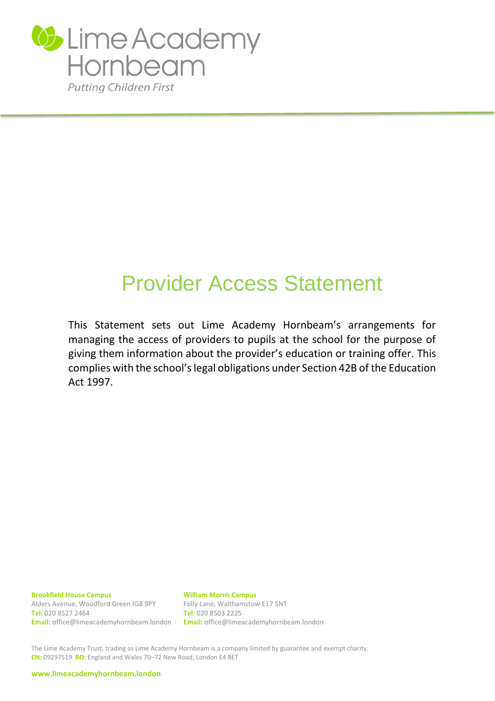

# Provider Access Statement

This Statement sets out Lime Academy Hornbeam's arrangements for managing the access of providers to pupils at the school for the purpose of giving them information about the provider's education or training offer. This complies with the school's legal obligations under Section 42B of the Education Act 1997.

**Brookfield House Campus**

Alders Avenue, Woodford Green IG8 9PY **Tel:** 020 8527 2464 **Email:** office@limeacademyhornbeam.london **William Morris Campus** Folly Lane, Walthamstow E17 5NT **Tel:** 020 8503 2225 **Email:** office@limeacademyhornbeam.london

The Lime Academy Trust, trading as Lime Academy Hornbeam is a company limited by guarantee and exempt charity. **CN:** 09297519 **RO:** England and Wales 70–72 New Road, London E4 8ET

**[www.limeacademyhornbeam.london](http://www.limeacademyhornbeam.london/)**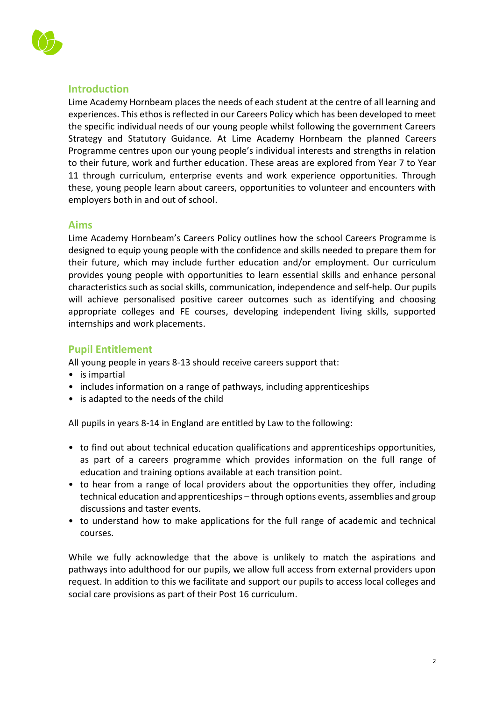

# **Introduction**

Lime Academy Hornbeam places the needs of each student at the centre of all learning and experiences. This ethos is reflected in our Careers Policy which has been developed to meet the specific individual needs of our young people whilst following the government Careers Strategy and Statutory Guidance. At Lime Academy Hornbeam the planned Careers Programme centres upon our young people's individual interests and strengths in relation to their future, work and further education. These areas are explored from Year 7 to Year 11 through curriculum, enterprise events and work experience opportunities. Through these, young people learn about careers, opportunities to volunteer and encounters with employers both in and out of school.

## **Aims**

Lime Academy Hornbeam's Careers Policy outlines how the school Careers Programme is designed to equip young people with the confidence and skills needed to prepare them for their future, which may include further education and/or employment. Our curriculum provides young people with opportunities to learn essential skills and enhance personal characteristics such as social skills, communication, independence and self-help. Our pupils will achieve personalised positive career outcomes such as identifying and choosing appropriate colleges and FE courses, developing independent living skills, supported internships and work placements.

## **Pupil Entitlement**

All young people in years 8-13 should receive careers support that:

- is impartial
- includes information on a range of pathways, including apprenticeships
- is adapted to the needs of the child

All pupils in years 8-14 in England are entitled by Law to the following:

- to find out about technical education qualifications and apprenticeships opportunities, as part of a careers programme which provides information on the full range of education and training options available at each transition point.
- to hear from a range of local providers about the opportunities they offer, including technical education and apprenticeships – through options events, assemblies and group discussions and taster events.
- to understand how to make applications for the full range of academic and technical courses.

While we fully acknowledge that the above is unlikely to match the aspirations and pathways into adulthood for our pupils, we allow full access from external providers upon request. In addition to this we facilitate and support our pupils to access local colleges and social care provisions as part of their Post 16 curriculum.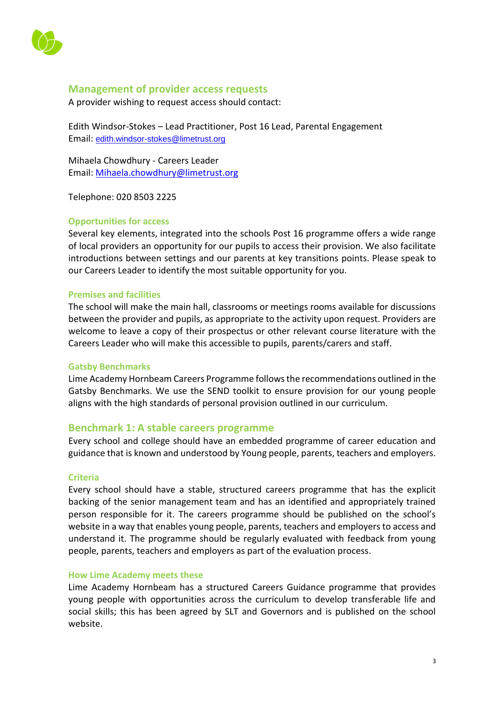

## **Management of provider access requests**

A provider wishing to request access should contact:

Edith Windsor-Stokes – Lead Practitioner, Post 16 Lead, Parental Engagement Email: [edith.windsor-stokes@limetrust.org](mailto:edith.windsor-stokes@limetrust.org)

Mihaela Chowdhury - Careers Leader Email: [Mihaela.chowdhury@limetrust.org](mailto:Mihaela.chowdhury@limetrust.org)

Telephone: 020 8503 2225

## **Opportunities for access**

Several key elements, integrated into the schools Post 16 programme offers a wide range of local providers an opportunity for our pupils to access their provision. We also facilitate introductions between settings and our parents at key transitions points. Please speak to our Careers Leader to identify the most suitable opportunity for you.

#### **Premises and facilities**

The school will make the main hall, classrooms or meetings rooms available for discussions between the provider and pupils, as appropriate to the activity upon request. Providers are welcome to leave a copy of their prospectus or other relevant course literature with the Careers Leader who will make this accessible to pupils, parents/carers and staff.

#### **Gatsby Benchmarks**

Lime Academy Hornbeam Careers Programme follows the recommendations outlined in the Gatsby Benchmarks. We use the SEND toolkit to ensure provision for our young people aligns with the high standards of personal provision outlined in our curriculum.

## **Benchmark 1: A stable careers programme**

Every school and college should have an embedded programme of career education and guidance that is known and understood by Young people, parents, teachers and employers.

#### **Criteria**

Every school should have a stable, structured careers programme that has the explicit backing of the senior management team and has an identified and appropriately trained person responsible for it. The careers programme should be published on the school's website in a way that enables young people, parents, teachers and employers to access and understand it. The programme should be regularly evaluated with feedback from young people, parents, teachers and employers as part of the evaluation process.

## **How Lime Academy meets these**

Lime Academy Hornbeam has a structured Careers Guidance programme that provides young people with opportunities across the curriculum to develop transferable life and social skills; this has been agreed by SLT and Governors and is published on the school website.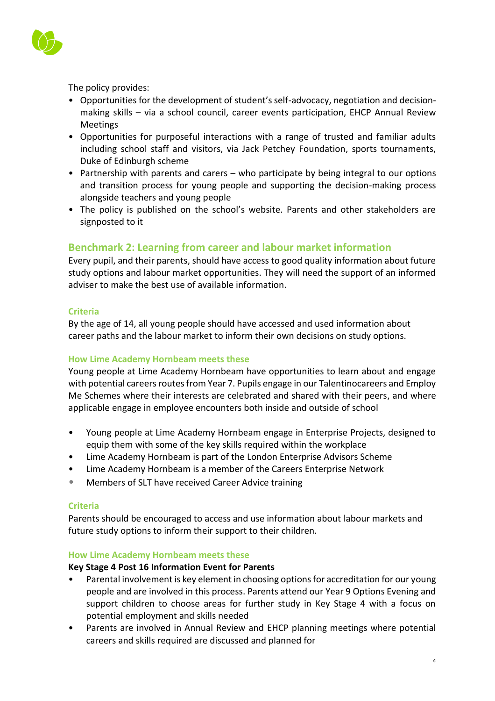

The policy provides:

- Opportunities for the development of student's self-advocacy, negotiation and decisionmaking skills – via a school council, career events participation, EHCP Annual Review Meetings
- Opportunities for purposeful interactions with a range of trusted and familiar adults including school staff and visitors, via Jack Petchey Foundation, sports tournaments, Duke of Edinburgh scheme
- Partnership with parents and carers who participate by being integral to our options and transition process for young people and supporting the decision-making process alongside teachers and young people
- The policy is published on the school's website. Parents and other stakeholders are signposted to it

# **Benchmark 2: Learning from career and labour market information**

Every pupil, and their parents, should have access to good quality information about future study options and labour market opportunities. They will need the support of an informed adviser to make the best use of available information.

## **Criteria**

By the age of 14, all young people should have accessed and used information about career paths and the labour market to inform their own decisions on study options.

## **How Lime Academy Hornbeam meets these**

Young people at Lime Academy Hornbeam have opportunities to learn about and engage with potential careers routes from Year 7. Pupils engage in our Talentinocareers and Employ Me Schemes where their interests are celebrated and shared with their peers, and where applicable engage in employee encounters both inside and outside of school

- Young people at Lime Academy Hornbeam engage in Enterprise Projects, designed to equip them with some of the key skills required within the workplace
- Lime Academy Hornbeam is part of the London Enterprise Advisors Scheme
- Lime Academy Hornbeam is a member of the Careers Enterprise Network
- Members of SLT have received Career Advice training

## **Criteria**

Parents should be encouraged to access and use information about labour markets and future study options to inform their support to their children.

## **How Lime Academy Hornbeam meets these**

## **Key Stage 4 Post 16 Information Event for Parents**

- Parental involvement is key element in choosing options for accreditation for our young people and are involved in this process. Parents attend our Year 9 Options Evening and support children to choose areas for further study in Key Stage 4 with a focus on potential employment and skills needed
- Parents are involved in Annual Review and EHCP planning meetings where potential careers and skills required are discussed and planned for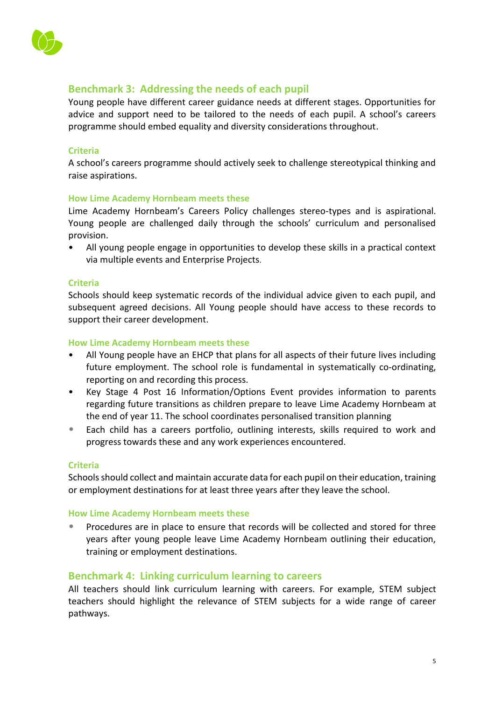

# **Benchmark 3: Addressing the needs of each pupil**

Young people have different career guidance needs at different stages. Opportunities for advice and support need to be tailored to the needs of each pupil. A school's careers programme should embed equality and diversity considerations throughout.

#### **Criteria**

A school's careers programme should actively seek to challenge stereotypical thinking and raise aspirations.

#### **How Lime Academy Hornbeam meets these**

Lime Academy Hornbeam's Careers Policy challenges stereo-types and is aspirational. Young people are challenged daily through the schools' curriculum and personalised provision.

• All young people engage in opportunities to develop these skills in a practical context via multiple events and Enterprise Projects.

#### **Criteria**

Schools should keep systematic records of the individual advice given to each pupil, and subsequent agreed decisions. All Young people should have access to these records to support their career development.

#### **How Lime Academy Hornbeam meets these**

- All Young people have an EHCP that plans for all aspects of their future lives including future employment. The school role is fundamental in systematically co-ordinating, reporting on and recording this process.
- Key Stage 4 Post 16 Information/Options Event provides information to parents regarding future transitions as children prepare to leave Lime Academy Hornbeam at the end of year 11. The school coordinates personalised transition planning
- Each child has a careers portfolio, outlining interests, skills required to work and progress towards these and any work experiences encountered.

## **Criteria**

Schools should collect and maintain accurate data for each pupil on their education, training or employment destinations for at least three years after they leave the school.

#### **How Lime Academy Hornbeam meets these**

• Procedures are in place to ensure that records will be collected and stored for three years after young people leave Lime Academy Hornbeam outlining their education, training or employment destinations.

## **Benchmark 4: Linking curriculum learning to careers**

All teachers should link curriculum learning with careers. For example, STEM subject teachers should highlight the relevance of STEM subjects for a wide range of career pathways.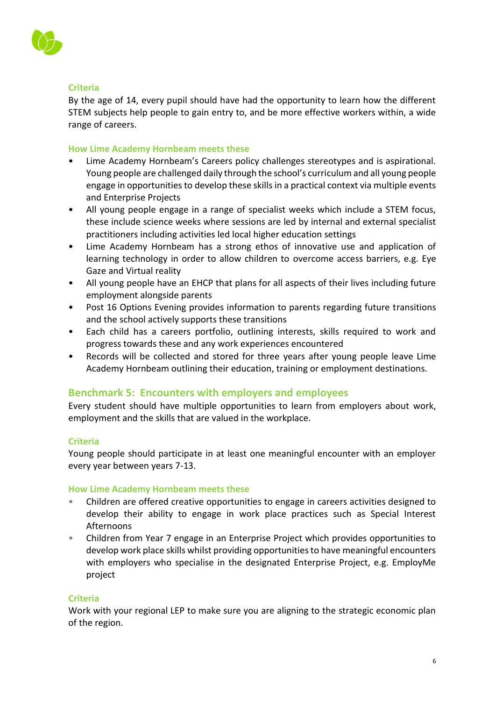

## **Criteria**

By the age of 14, every pupil should have had the opportunity to learn how the different STEM subjects help people to gain entry to, and be more effective workers within, a wide range of careers.

## **How Lime Academy Hornbeam meets these**

- Lime Academy Hornbeam's Careers policy challenges stereotypes and is aspirational. Young people are challenged daily through the school's curriculum and all young people engage in opportunities to develop these skills in a practical context via multiple events and Enterprise Projects
- All young people engage in a range of specialist weeks which include a STEM focus, these include science weeks where sessions are led by internal and external specialist practitioners including activities led local higher education settings
- Lime Academy Hornbeam has a strong ethos of innovative use and application of learning technology in order to allow children to overcome access barriers, e.g. Eye Gaze and Virtual reality
- All young people have an EHCP that plans for all aspects of their lives including future employment alongside parents
- Post 16 Options Evening provides information to parents regarding future transitions and the school actively supports these transitions
- Each child has a careers portfolio, outlining interests, skills required to work and progress towards these and any work experiences encountered
- Records will be collected and stored for three years after young people leave Lime Academy Hornbeam outlining their education, training or employment destinations.

# **Benchmark 5: Encounters with employers and employees**

Every student should have multiple opportunities to learn from employers about work, employment and the skills that are valued in the workplace.

## **Criteria**

Young people should participate in at least one meaningful encounter with an employer every year between years 7-13.

## **How Lime Academy Hornbeam meets these**

- Children are offered creative opportunities to engage in careers activities designed to develop their ability to engage in work place practices such as Special Interest Afternoons
- Children from Year 7 engage in an Enterprise Project which provides opportunities to develop work place skills whilst providing opportunities to have meaningful encounters with employers who specialise in the designated Enterprise Project, e.g. EmployMe project

## **Criteria**

Work with your regional LEP to make sure you are aligning to the strategic economic plan of the region.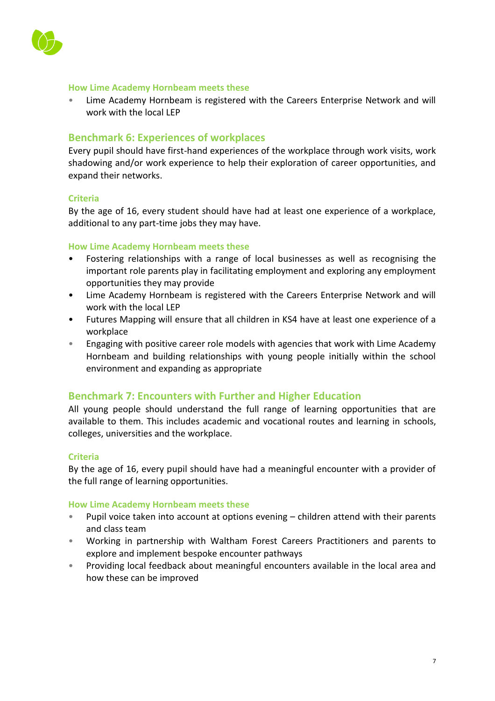

#### **How Lime Academy Hornbeam meets these**

• Lime Academy Hornbeam is registered with the Careers Enterprise Network and will work with the local LEP

## **Benchmark 6: Experiences of workplaces**

Every pupil should have first-hand experiences of the workplace through work visits, work shadowing and/or work experience to help their exploration of career opportunities, and expand their networks.

## **Criteria**

By the age of 16, every student should have had at least one experience of a workplace, additional to any part-time jobs they may have.

#### **How Lime Academy Hornbeam meets these**

- Fostering relationships with a range of local businesses as well as recognising the important role parents play in facilitating employment and exploring any employment opportunities they may provide
- Lime Academy Hornbeam is registered with the Careers Enterprise Network and will work with the local LEP
- Futures Mapping will ensure that all children in KS4 have at least one experience of a workplace
- Engaging with positive career role models with agencies that work with Lime Academy Hornbeam and building relationships with young people initially within the school environment and expanding as appropriate

## **Benchmark 7: Encounters with Further and Higher Education**

All young people should understand the full range of learning opportunities that are available to them. This includes academic and vocational routes and learning in schools, colleges, universities and the workplace.

#### **Criteria**

By the age of 16, every pupil should have had a meaningful encounter with a provider of the full range of learning opportunities.

#### **How Lime Academy Hornbeam meets these**

- Pupil voice taken into account at options evening children attend with their parents and class team
- Working in partnership with Waltham Forest Careers Practitioners and parents to explore and implement bespoke encounter pathways
- Providing local feedback about meaningful encounters available in the local area and how these can be improved